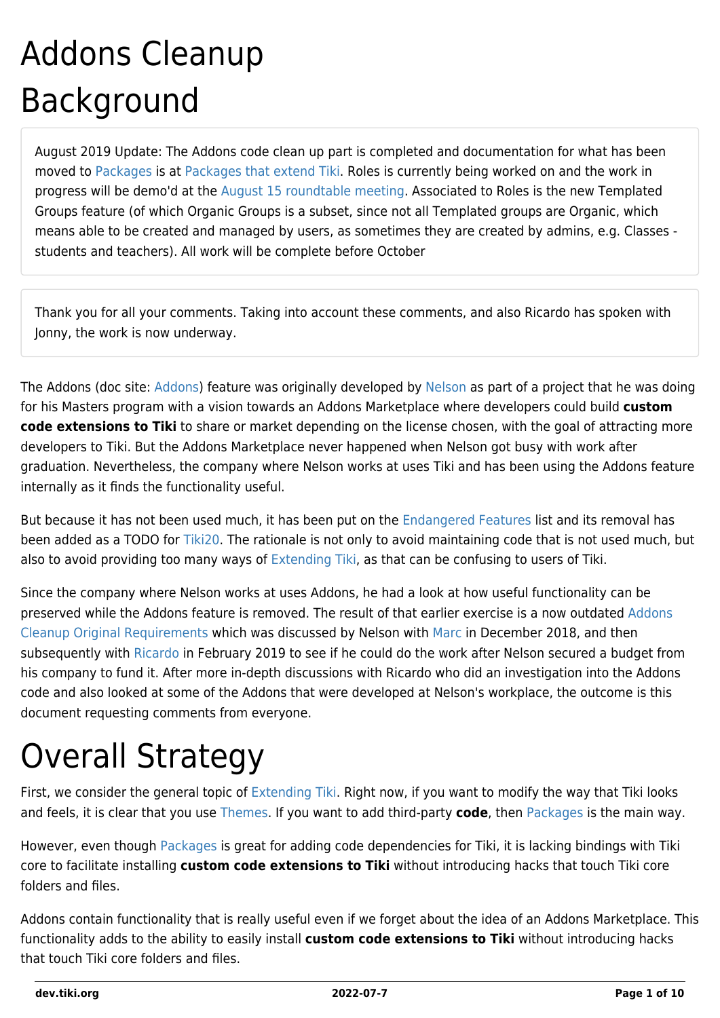# Addons Cleanup Background

August 2019 Update: The Addons code clean up part is completed and documentation for what has been moved to [Packages](http://doc.tiki.org/Packages) is at [Packages that extend Tiki](http://doc.tiki.org/Packages%20that%20extend%20Tiki). Roles is currently being worked on and the work in progress will be demo'd at the [August 15 roundtable meeting.](http://tiki.org/Roundtable%20Meeting%202019%2008) Associated to Roles is the new Templated Groups feature (of which Organic Groups is a subset, since not all Templated groups are Organic, which means able to be created and managed by users, as sometimes they are created by admins, e.g. Classes students and teachers). All work will be complete before October

Thank you for all your comments. Taking into account these comments, and also Ricardo has spoken with Jonny, the work is now underway.

The [Addons](https://dev.tiki.org/tiki-editpage.php?page=Addons) (doc site: [Addons\)](http://doc.tiki.org/Addons) feature was originally developed by [Nelson](https://tiki.org/userpagekoth) as part of a project that he was doing for his Masters program with a vision towards an Addons Marketplace where developers could build **custom code extensions to Tiki** to share or market depending on the license chosen, with the goal of attracting more developers to Tiki. But the Addons Marketplace never happened when Nelson got busy with work after graduation. Nevertheless, the company where Nelson works at uses Tiki and has been using the Addons feature internally as it finds the functionality useful.

But because it has not been used much, it has been put on the [Endangered Features](https://dev.tiki.org/Endangered-features) list and its removal has been added as a TODO for [Tiki20.](https://dev.tiki.org/Tiki20) The rationale is not only to avoid maintaining code that is not used much, but also to avoid providing too many ways of [Extending Tiki,](http://doc.tiki.org/Extending%20Tiki) as that can be confusing to users of Tiki.

Since the company where Nelson works at uses Addons, he had a look at how useful functionality can be preserved while the Addons feature is removed. The result of that earlier exercise is a now outdated [Addons](https://dev.tiki.org/Addons-Cleanup-Original-Requirements) [Cleanup Original Requirements](https://dev.tiki.org/Addons-Cleanup-Original-Requirements) which was discussed by Nelson with [Marc](https://tiki.org/userpagemarclaporte) in December 2018, and then subsequently with [Ricardo](https://github.com/rjsmelo) in February 2019 to see if he could do the work after Nelson secured a budget from his company to fund it. After more in-depth discussions with Ricardo who did an investigation into the Addons code and also looked at some of the Addons that were developed at Nelson's workplace, the outcome is this document requesting comments from everyone.

# Overall Strategy

First, we consider the general topic of [Extending Tiki](http://doc.tiki.org/Extending%20Tiki). Right now, if you want to modify the way that Tiki looks and feels, it is clear that you use [Themes.](http://doc.tiki.org/Themes) If you want to add third-party **code**, then [Packages](http://doc.tiki.org/Packages) is the main way.

However, even though [Packages](http://doc.tiki.org/Packages) is great for adding code dependencies for Tiki, it is lacking bindings with Tiki core to facilitate installing **custom code extensions to Tiki** without introducing hacks that touch Tiki core folders and files.

Addons contain functionality that is really useful even if we forget about the idea of an Addons Marketplace. This functionality adds to the ability to easily install **custom code extensions to Tiki** without introducing hacks that touch Tiki core folders and files.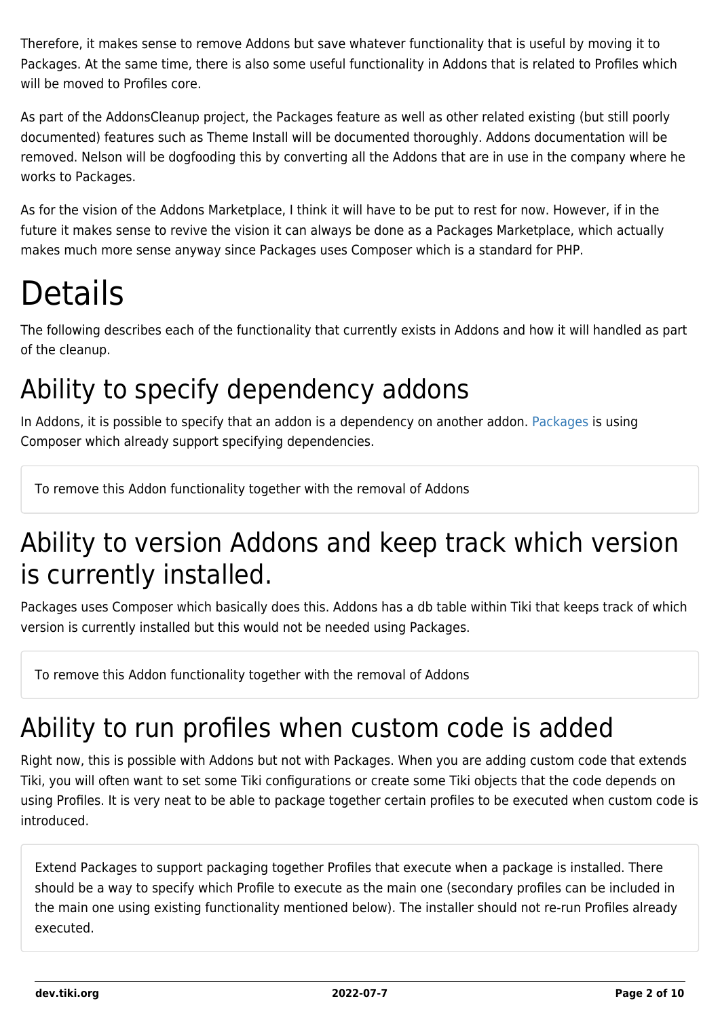Therefore, it makes sense to remove Addons but save whatever functionality that is useful by moving it to Packages. At the same time, there is also some useful functionality in Addons that is related to Profiles which will be moved to Profiles core.

As part of the AddonsCleanup project, the Packages feature as well as other related existing (but still poorly documented) features such as Theme Install will be documented thoroughly. Addons documentation will be removed. Nelson will be dogfooding this by converting all the Addons that are in use in the company where he works to Packages.

As for the vision of the Addons Marketplace, I think it will have to be put to rest for now. However, if in the future it makes sense to revive the vision it can always be done as a Packages Marketplace, which actually makes much more sense anyway since Packages uses Composer which is a standard for PHP.

# Details

The following describes each of the functionality that currently exists in Addons and how it will handled as part of the cleanup.

## Ability to specify dependency addons

In Addons, it is possible to specify that an addon is a dependency on another addon. [Packages](https://dev.tiki.org/Packages) is using Composer which already support specifying dependencies.

To remove this Addon functionality together with the removal of Addons

### Ability to version Addons and keep track which version is currently installed.

Packages uses Composer which basically does this. Addons has a db table within Tiki that keeps track of which version is currently installed but this would not be needed using Packages.

To remove this Addon functionality together with the removal of Addons

### Ability to run profiles when custom code is added

Right now, this is possible with Addons but not with Packages. When you are adding custom code that extends Tiki, you will often want to set some Tiki configurations or create some Tiki objects that the code depends on using Profiles. It is very neat to be able to package together certain profiles to be executed when custom code is introduced.

Extend Packages to support packaging together Profiles that execute when a package is installed. There should be a way to specify which Profile to execute as the main one (secondary profiles can be included in the main one using existing functionality mentioned below). The installer should not re-run Profiles already executed.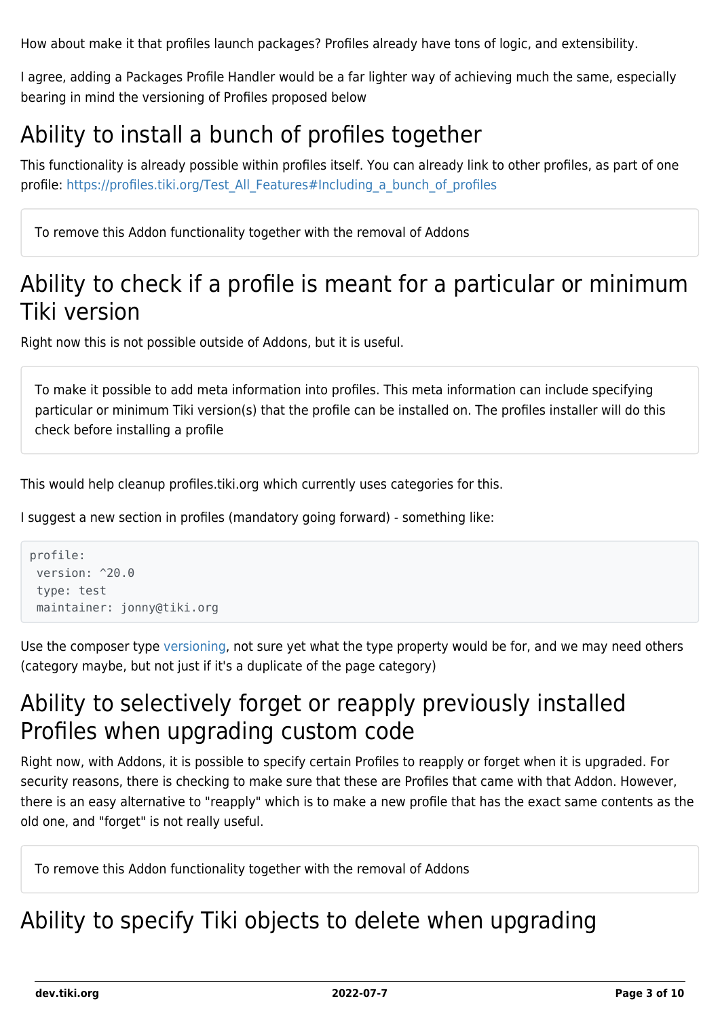How about make it that profiles launch packages? Profiles already have tons of logic, and extensibility.

I agree, adding a Packages Profile Handler would be a far lighter way of achieving much the same, especially bearing in mind the versioning of Profiles proposed below

#### Ability to install a bunch of profiles together

This functionality is already possible within profiles itself. You can already link to other profiles, as part of one profile: [https://profiles.tiki.org/Test\\_All\\_Features#Including\\_a\\_bunch\\_of\\_profiles](https://profiles.tiki.org/Test_All_Features#Including_a_bunch_of_profiles)

To remove this Addon functionality together with the removal of Addons

#### Ability to check if a profile is meant for a particular or minimum Tiki version

Right now this is not possible outside of Addons, but it is useful.

To make it possible to add meta information into profiles. This meta information can include specifying particular or minimum Tiki version(s) that the profile can be installed on. The profiles installer will do this check before installing a profile

This would help cleanup profiles.tiki.org which currently uses categories for this.

I suggest a new section in profiles (mandatory going forward) - something like:

```
profile:
version: ^20.0
type: test
maintainer: jonny@tiki.org
```
Use the composer type [versioning,](https://getcomposer.org/doc/articles/versions.md#writing-version-constraints) not sure yet what the type property would be for, and we may need others (category maybe, but not just if it's a duplicate of the page category)

#### Ability to selectively forget or reapply previously installed Profiles when upgrading custom code

Right now, with Addons, it is possible to specify certain Profiles to reapply or forget when it is upgraded. For security reasons, there is checking to make sure that these are Profiles that came with that Addon. However, there is an easy alternative to "reapply" which is to make a new profile that has the exact same contents as the old one, and "forget" is not really useful.

To remove this Addon functionality together with the removal of Addons

#### Ability to specify Tiki objects to delete when upgrading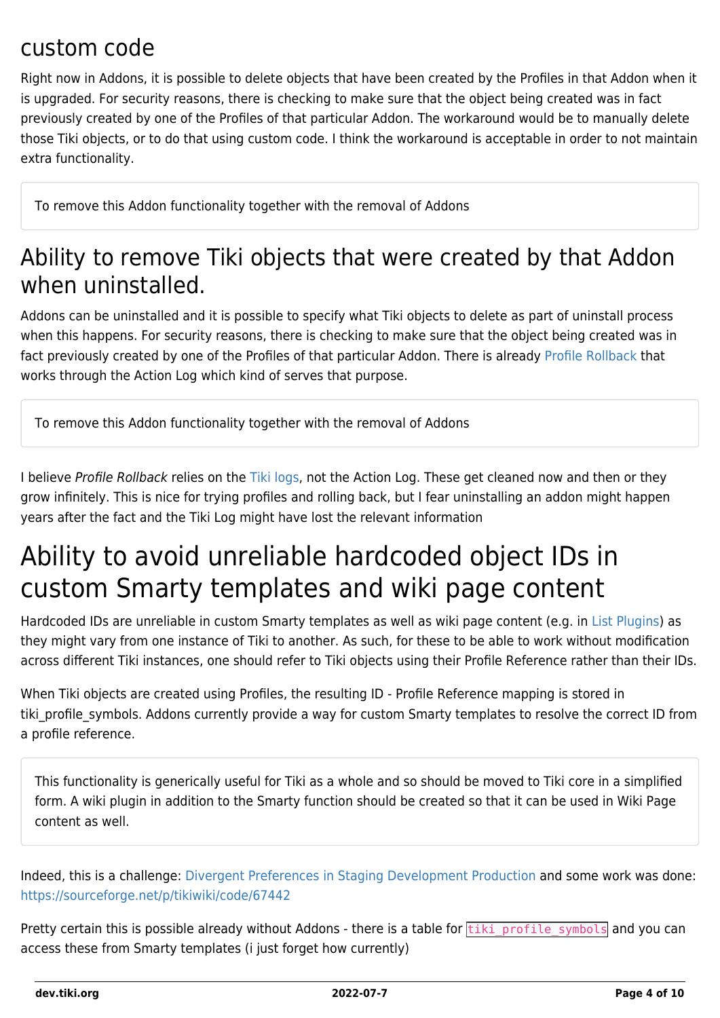#### custom code

Right now in Addons, it is possible to delete objects that have been created by the Profiles in that Addon when it is upgraded. For security reasons, there is checking to make sure that the object being created was in fact previously created by one of the Profiles of that particular Addon. The workaround would be to manually delete those Tiki objects, or to do that using custom code. I think the workaround is acceptable in order to not maintain extra functionality.

To remove this Addon functionality together with the removal of Addons

#### Ability to remove Tiki objects that were created by that Addon when uninstalled.

Addons can be uninstalled and it is possible to specify what Tiki objects to delete as part of uninstall process when this happens. For security reasons, there is checking to make sure that the object being created was in fact previously created by one of the Profiles of that particular Addon. There is already [Profile Rollback](https://profiles.tiki.org/Profile+Rollback) that works through the Action Log which kind of serves that purpose.

To remove this Addon functionality together with the removal of Addons

I believe Profile Rollback relies on the [Tiki logs](https://doc.tiki.org/system%20log), not the Action Log. These get cleaned now and then or they grow infinitely. This is nice for trying profiles and rolling back, but I fear uninstalling an addon might happen years after the fact and the Tiki Log might have lost the relevant information

### Ability to avoid unreliable hardcoded object IDs in custom Smarty templates and wiki page content

Hardcoded IDs are unreliable in custom Smarty templates as well as wiki page content (e.g. in [List Plugins](http://doc.tiki.org/PluginList)) as they might vary from one instance of Tiki to another. As such, for these to be able to work without modification across different Tiki instances, one should refer to Tiki objects using their Profile Reference rather than their IDs.

When Tiki objects are created using Profiles, the resulting ID - Profile Reference mapping is stored in tiki profile symbols. Addons currently provide a way for custom Smarty templates to resolve the correct ID from a profile reference.

This functionality is generically useful for Tiki as a whole and so should be moved to Tiki core in a simplified form. A wiki plugin in addition to the Smarty function should be created so that it can be used in Wiki Page content as well.

Indeed, this is a challenge: [Divergent Preferences in Staging Development Production](https://dev.tiki.org/Divergent-Preferences-in-Staging-Development-Production) and some work was done: <https://sourceforge.net/p/tikiwiki/code/67442>

Pretty certain this is possible already without Addons - there is a table for **tiki** profile symbols and you can access these from Smarty templates (i just forget how currently)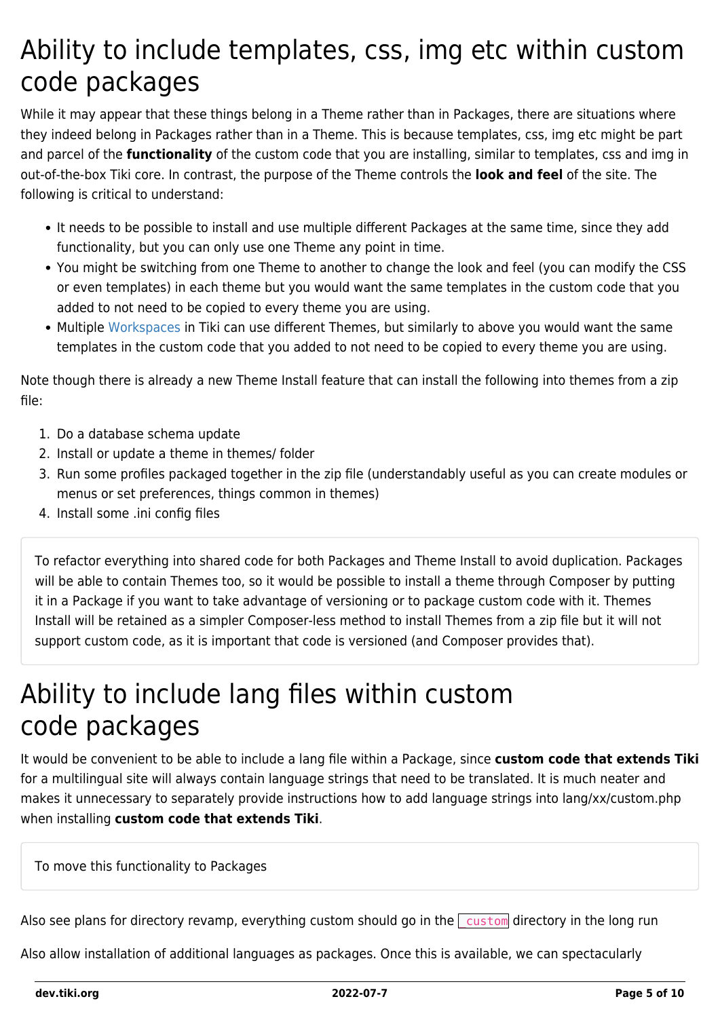### Ability to include templates, css, img etc within custom code packages

While it may appear that these things belong in a Theme rather than in Packages, there are situations where they indeed belong in Packages rather than in a Theme. This is because templates, css, img etc might be part and parcel of the **functionality** of the custom code that you are installing, similar to templates, css and img in out-of-the-box Tiki core. In contrast, the purpose of the Theme controls the **look and feel** of the site. The following is critical to understand:

- It needs to be possible to install and use multiple different Packages at the same time, since they add functionality, but you can only use one Theme any point in time.
- You might be switching from one Theme to another to change the look and feel (you can modify the CSS or even templates) in each theme but you would want the same templates in the custom code that you added to not need to be copied to every theme you are using.
- Multiple [Workspaces](http://doc.tiki.org/Workspaces) in Tiki can use different Themes, but similarly to above you would want the same templates in the custom code that you added to not need to be copied to every theme you are using.

Note though there is already a new Theme Install feature that can install the following into themes from a zip file:

- 1. Do a database schema update
- 2. Install or update a theme in themes/ folder
- 3. Run some profiles packaged together in the zip file (understandably useful as you can create modules or menus or set preferences, things common in themes)
- 4. Install some .ini config files

To refactor everything into shared code for both Packages and Theme Install to avoid duplication. Packages will be able to contain Themes too, so it would be possible to install a theme through Composer by putting it in a Package if you want to take advantage of versioning or to package custom code with it. Themes Install will be retained as a simpler Composer-less method to install Themes from a zip file but it will not support custom code, as it is important that code is versioned (and Composer provides that).

#### Ability to include lang files within custom code packages

It would be convenient to be able to include a lang file within a Package, since **custom code that extends Tiki** for a multilingual site will always contain language strings that need to be translated. It is much neater and makes it unnecessary to separately provide instructions how to add language strings into lang/xx/custom.php when installing **custom code that extends Tiki**.

To move this functionality to Packages

Also see plans for directory revamp, everything custom should go in the  $\sqrt{\frac{\text{cutoff}}{\text{cutoff}}}$  directory in the long run

Also allow installation of additional languages as packages. Once this is available, we can spectacularly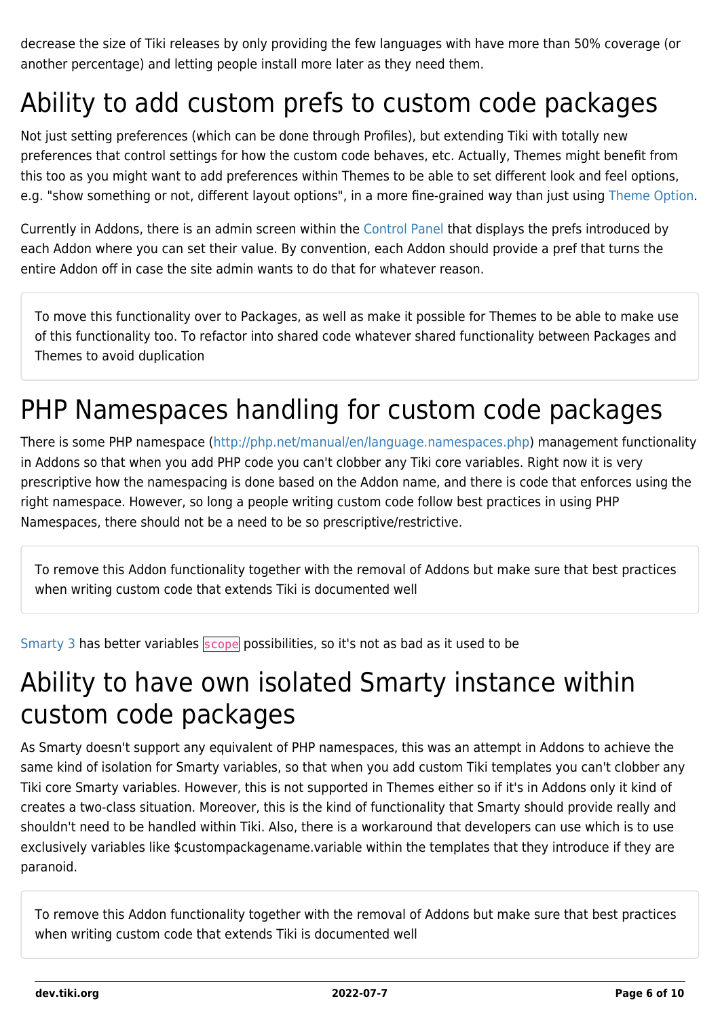decrease the size of Tiki releases by only providing the few languages with have more than 50% coverage (or another percentage) and letting people install more later as they need them.

## Ability to add custom prefs to custom code packages

Not just setting preferences (which can be done through Profiles), but extending Tiki with totally new preferences that control settings for how the custom code behaves, etc. Actually, Themes might benefit from this too as you might want to add preferences within Themes to be able to set different look and feel options, e.g. "show something or not, different layout options", in a more fine-grained way than just using [Theme Option.](http://themes.tiki.org/Theme%20Option)

Currently in Addons, there is an admin screen within the [Control Panel](http://doc.tiki.org/Admin%20Home) that displays the prefs introduced by each Addon where you can set their value. By convention, each Addon should provide a pref that turns the entire Addon off in case the site admin wants to do that for whatever reason.

To move this functionality over to Packages, as well as make it possible for Themes to be able to make use of this functionality too. To refactor into shared code whatever shared functionality between Packages and Themes to avoid duplication

## PHP Namespaces handling for custom code packages

There is some PHP namespace ([http://php.net/manual/en/language.namespaces.php\)](http://php.net/manual/en/language.namespaces.php) management functionality in Addons so that when you add PHP code you can't clobber any Tiki core variables. Right now it is very prescriptive how the namespacing is done based on the Addon name, and there is code that enforces using the right namespace. However, so long a people writing custom code follow best practices in using PHP Namespaces, there should not be a need to be so prescriptive/restrictive.

To remove this Addon functionality together with the removal of Addons but make sure that best practices when writing custom code that extends Tiki is documented well

[Smarty 3](https://www.smarty.net/docs/en/language.variable.scopes.tpl) has better variables scope possibilities, so it's not as bad as it used to be

#### Ability to have own isolated Smarty instance within custom code packages

As Smarty doesn't support any equivalent of PHP namespaces, this was an attempt in Addons to achieve the same kind of isolation for Smarty variables, so that when you add custom Tiki templates you can't clobber any Tiki core Smarty variables. However, this is not supported in Themes either so if it's in Addons only it kind of creates a two-class situation. Moreover, this is the kind of functionality that Smarty should provide really and shouldn't need to be handled within Tiki. Also, there is a workaround that developers can use which is to use exclusively variables like \$custompackagename.variable within the templates that they introduce if they are paranoid.

To remove this Addon functionality together with the removal of Addons but make sure that best practices when writing custom code that extends Tiki is documented well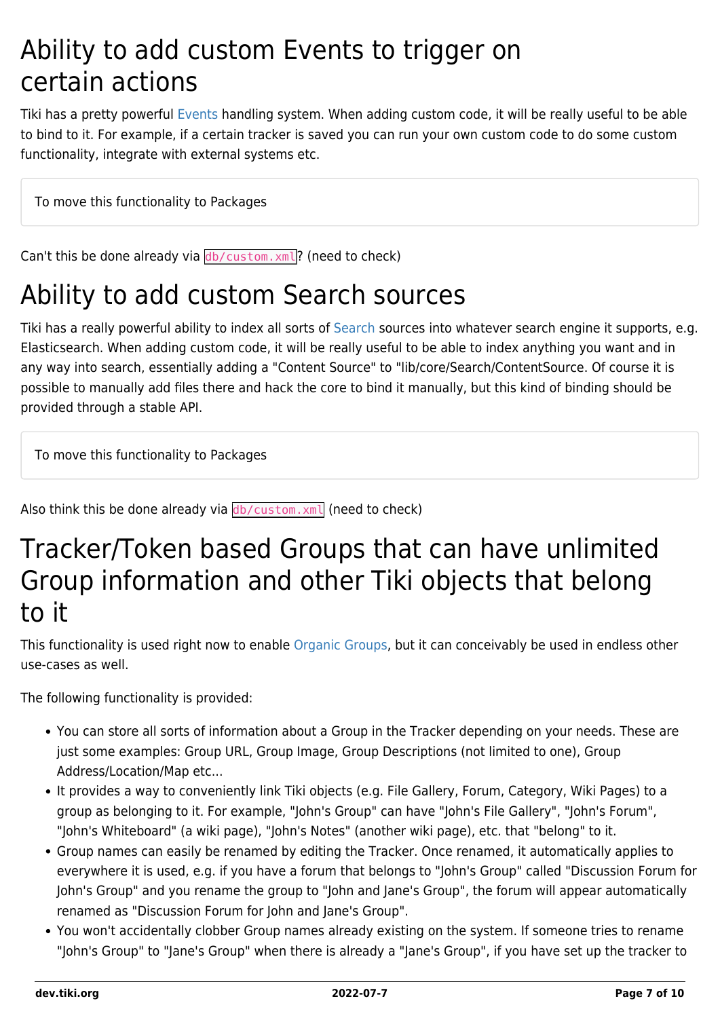#### Ability to add custom Events to trigger on certain actions

Tiki has a pretty powerful [Events](https://dev.tiki.org/Events) handling system. When adding custom code, it will be really useful to be able to bind to it. For example, if a certain tracker is saved you can run your own custom code to do some custom functionality, integrate with external systems etc.

To move this functionality to Packages

Can't this be done already via  $db/custom.xml$ ? (need to check)

#### Ability to add custom Search sources

Tiki has a really powerful ability to index all sorts of [Search](http://doc.tiki.org/Unified%20Index) sources into whatever search engine it supports, e.g. Elasticsearch. When adding custom code, it will be really useful to be able to index anything you want and in any way into search, essentially adding a "Content Source" to "lib/core/Search/ContentSource. Of course it is possible to manually add files there and hack the core to bind it manually, but this kind of binding should be provided through a stable API.

To move this functionality to Packages

Also think this be done already via  $db/custom.xml$  (need to check)

#### Tracker/Token based Groups that can have unlimited Group information and other Tiki objects that belong to it

This functionality is used right now to enable [Organic Groups](http://doc.tiki.org/Organic%20Groups), but it can conceivably be used in endless other use-cases as well.

The following functionality is provided:

- You can store all sorts of information about a Group in the Tracker depending on your needs. These are just some examples: Group URL, Group Image, Group Descriptions (not limited to one), Group Address/Location/Map etc...
- It provides a way to conveniently link Tiki objects (e.g. File Gallery, Forum, Category, Wiki Pages) to a group as belonging to it. For example, "John's Group" can have "John's File Gallery", "John's Forum", "John's Whiteboard" (a wiki page), "John's Notes" (another wiki page), etc. that "belong" to it.
- Group names can easily be renamed by editing the Tracker. Once renamed, it automatically applies to everywhere it is used, e.g. if you have a forum that belongs to "John's Group" called "Discussion Forum for John's Group" and you rename the group to "John and Jane's Group", the forum will appear automatically renamed as "Discussion Forum for John and Jane's Group".
- You won't accidentally clobber Group names already existing on the system. If someone tries to rename "John's Group" to "Jane's Group" when there is already a "Jane's Group", if you have set up the tracker to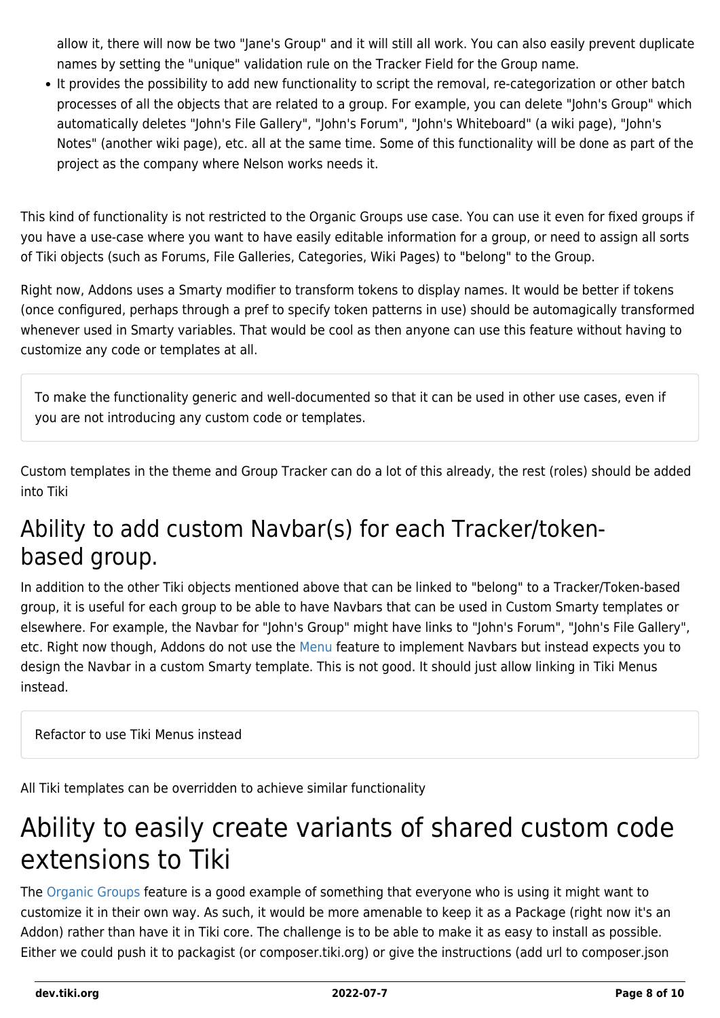allow it, there will now be two "Jane's Group" and it will still all work. You can also easily prevent duplicate names by setting the "unique" validation rule on the Tracker Field for the Group name.

It provides the possibility to add new functionality to script the removal, re-categorization or other batch processes of all the objects that are related to a group. For example, you can delete "John's Group" which automatically deletes "John's File Gallery", "John's Forum", "John's Whiteboard" (a wiki page), "John's Notes" (another wiki page), etc. all at the same time. Some of this functionality will be done as part of the project as the company where Nelson works needs it.

This kind of functionality is not restricted to the Organic Groups use case. You can use it even for fixed groups if you have a use-case where you want to have easily editable information for a group, or need to assign all sorts of Tiki objects (such as Forums, File Galleries, Categories, Wiki Pages) to "belong" to the Group.

Right now, Addons uses a Smarty modifier to transform tokens to display names. It would be better if tokens (once configured, perhaps through a pref to specify token patterns in use) should be automagically transformed whenever used in Smarty variables. That would be cool as then anyone can use this feature without having to customize any code or templates at all.

To make the functionality generic and well-documented so that it can be used in other use cases, even if you are not introducing any custom code or templates.

Custom templates in the theme and Group Tracker can do a lot of this already, the rest (roles) should be added into Tiki

#### Ability to add custom Navbar(s) for each Tracker/tokenbased group.

In addition to the other Tiki objects mentioned above that can be linked to "belong" to a Tracker/Token-based group, it is useful for each group to be able to have Navbars that can be used in Custom Smarty templates or elsewhere. For example, the Navbar for "John's Group" might have links to "John's Forum", "John's File Gallery", etc. Right now though, Addons do not use the [Menu](http://doc.tiki.org/Menu) feature to implement Navbars but instead expects you to design the Navbar in a custom Smarty template. This is not good. It should just allow linking in Tiki Menus instead.

Refactor to use Tiki Menus instead

All Tiki templates can be overridden to achieve similar functionality

### Ability to easily create variants of shared custom code extensions to Tiki

The [Organic Groups](http://doc.tiki.org/Organic%20Groups) feature is a good example of something that everyone who is using it might want to customize it in their own way. As such, it would be more amenable to keep it as a Package (right now it's an Addon) rather than have it in Tiki core. The challenge is to be able to make it as easy to install as possible. Either we could push it to packagist (or composer.tiki.org) or give the instructions (add url to composer.json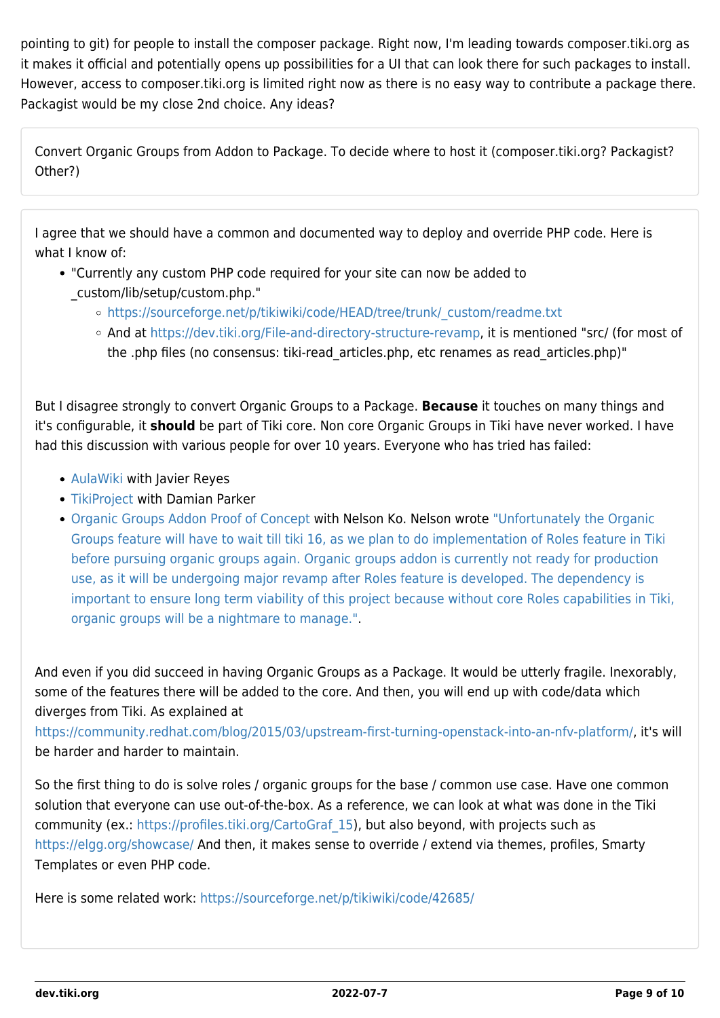pointing to git) for people to install the composer package. Right now, I'm leading towards composer.tiki.org as it makes it official and potentially opens up possibilities for a UI that can look there for such packages to install. However, access to composer.tiki.org is limited right now as there is no easy way to contribute a package there. Packagist would be my close 2nd choice. Any ideas?

Convert Organic Groups from Addon to Package. To decide where to host it (composer.tiki.org? Packagist? Other?)

I agree that we should have a common and documented way to deploy and override PHP code. Here is what I know of:

- "Currently any custom PHP code required for your site can now be added to
	- \_custom/lib/setup/custom.php."
		- o [https://sourceforge.net/p/tikiwiki/code/HEAD/tree/trunk/\\_custom/readme.txt](https://sourceforge.net/p/tikiwiki/code/HEAD/tree/trunk/_custom/readme.txt)
		- And at<https://dev.tiki.org/File-and-directory-structure-revamp>, it is mentioned "src/ (for most of the .php files (no consensus: tiki-read\_articles.php, etc renames as read\_articles.php)"

But I disagree strongly to convert Organic Groups to a Package. **Because** it touches on many things and it's configurable, it **should** be part of Tiki core. Non core Organic Groups in Tiki have never worked. I have had this discussion with various people for over 10 years. Everyone who has tried has failed:

- [AulaWiki](http://tiki.org/AulaWiki) with Javier Reyes
- [TikiProject](http://tiki.org/TikiProject) with Damian Parker
- [Organic Groups Addon Proof of Concept](http://doc.tiki.org/Organic%20Groups%20Addon%20Proof%20of%20Concept) with Nelson Ko. Nelson wrote ["Unfortunately the Organic](https://dev.tiki.org/item5864-Organicgrp-install-problem) [Groups feature will have to wait till tiki 16, as we plan to do implementation of Roles feature in Tiki](https://dev.tiki.org/item5864-Organicgrp-install-problem) [before pursuing organic groups again. Organic groups addon is currently not ready for production](https://dev.tiki.org/item5864-Organicgrp-install-problem) [use, as it will be undergoing major revamp after Roles feature is developed. The dependency is](https://dev.tiki.org/item5864-Organicgrp-install-problem) [important to ensure long term viability of this project because without core Roles capabilities in Tiki,](https://dev.tiki.org/item5864-Organicgrp-install-problem) [organic groups will be a nightmare to manage."](https://dev.tiki.org/item5864-Organicgrp-install-problem).

And even if you did succeed in having Organic Groups as a Package. It would be utterly fragile. Inexorably, some of the features there will be added to the core. And then, you will end up with code/data which diverges from Tiki. As explained at

[https://community.redhat.com/blog/2015/03/upstream-first-turning-openstack-into-an-nfv-platform/,](https://community.redhat.com/blog/2015/03/upstream-first-turning-openstack-into-an-nfv-platform/) it's will be harder and harder to maintain.

So the first thing to do is solve roles / organic groups for the base / common use case. Have one common solution that everyone can use out-of-the-box. As a reference, we can look at what was done in the Tiki community (ex.: [https://profiles.tiki.org/CartoGraf\\_15](https://profiles.tiki.org/CartoGraf_15)), but also beyond, with projects such as <https://elgg.org/showcase/> And then, it makes sense to override / extend via themes, profiles, Smarty Templates or even PHP code.

Here is some related work: <https://sourceforge.net/p/tikiwiki/code/42685/>